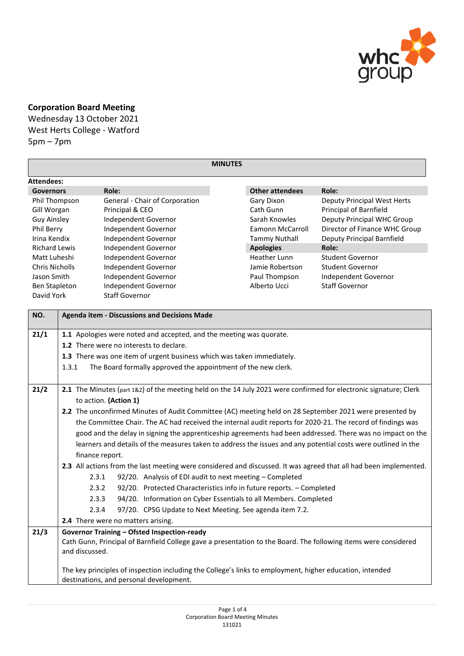

## **Corporation Board Meeting**

Wednesday 13 October 2021

West Herts College - Watford 5pm – 7pm

| <b>MINUTES</b>                          |                                                                                                                                            |                                                                                                                 |                                      |                                          |                                                                                                                   |  |  |  |
|-----------------------------------------|--------------------------------------------------------------------------------------------------------------------------------------------|-----------------------------------------------------------------------------------------------------------------|--------------------------------------|------------------------------------------|-------------------------------------------------------------------------------------------------------------------|--|--|--|
| <b>Attendees:</b>                       |                                                                                                                                            |                                                                                                                 |                                      |                                          |                                                                                                                   |  |  |  |
| <b>Governors</b>                        |                                                                                                                                            | Role:                                                                                                           |                                      | <b>Other attendees</b>                   | Role:                                                                                                             |  |  |  |
| Phil Thompson                           |                                                                                                                                            | General - Chair of Corporation                                                                                  |                                      | Gary Dixon                               | Deputy Principal West Herts                                                                                       |  |  |  |
| Gill Worgan                             |                                                                                                                                            | Principal & CEO                                                                                                 |                                      | Cath Gunn                                | Principal of Barnfield                                                                                            |  |  |  |
| <b>Guy Ainsley</b>                      |                                                                                                                                            | Independent Governor                                                                                            |                                      | Sarah Knowles                            | Deputy Principal WHC Group                                                                                        |  |  |  |
| Phil Berry                              |                                                                                                                                            | Independent Governor                                                                                            |                                      | Eamonn McCarroll                         | Director of Finance WHC Group                                                                                     |  |  |  |
| Irina Kendix                            |                                                                                                                                            | Independent Governor                                                                                            |                                      | <b>Tammy Nuthall</b><br><b>Apologies</b> | Deputy Principal Barnfield                                                                                        |  |  |  |
| <b>Richard Lewis</b>                    |                                                                                                                                            | Independent Governor                                                                                            |                                      |                                          | Role:                                                                                                             |  |  |  |
| Matt Luheshi                            |                                                                                                                                            | Independent Governor                                                                                            |                                      |                                          | <b>Student Governor</b>                                                                                           |  |  |  |
| <b>Chris Nicholls</b>                   |                                                                                                                                            | Independent Governor                                                                                            |                                      | Jamie Robertson                          | <b>Student Governor</b>                                                                                           |  |  |  |
| Jason Smith                             |                                                                                                                                            | Independent Governor                                                                                            |                                      | Paul Thompson                            | Independent Governor                                                                                              |  |  |  |
| <b>Ben Stapleton</b>                    |                                                                                                                                            |                                                                                                                 | Alberto Ucci<br>Independent Governor |                                          | <b>Staff Governor</b>                                                                                             |  |  |  |
| David York                              |                                                                                                                                            |                                                                                                                 | <b>Staff Governor</b>                |                                          |                                                                                                                   |  |  |  |
| NO.                                     |                                                                                                                                            | <b>Agenda item - Discussions and Decisions Made</b>                                                             |                                      |                                          |                                                                                                                   |  |  |  |
| 21/1                                    |                                                                                                                                            | 1.1 Apologies were noted and accepted, and the meeting was quorate.                                             |                                      |                                          |                                                                                                                   |  |  |  |
|                                         |                                                                                                                                            | 1.2 There were no interests to declare.                                                                         |                                      |                                          |                                                                                                                   |  |  |  |
|                                         |                                                                                                                                            | 1.3 There was one item of urgent business which was taken immediately.                                          |                                      |                                          |                                                                                                                   |  |  |  |
|                                         | 1.3.1                                                                                                                                      | The Board formally approved the appointment of the new clerk.                                                   |                                      |                                          |                                                                                                                   |  |  |  |
|                                         |                                                                                                                                            |                                                                                                                 |                                      |                                          |                                                                                                                   |  |  |  |
| 21/2                                    |                                                                                                                                            |                                                                                                                 |                                      |                                          |                                                                                                                   |  |  |  |
|                                         | 2.1 The Minutes (part 1&2) of the meeting held on the 14 July 2021 were confirmed for electronic signature; Clerk<br>to action. (Action 1) |                                                                                                                 |                                      |                                          |                                                                                                                   |  |  |  |
|                                         |                                                                                                                                            | 2.2 The unconfirmed Minutes of Audit Committee (AC) meeting held on 28 September 2021 were presented by         |                                      |                                          |                                                                                                                   |  |  |  |
|                                         |                                                                                                                                            |                                                                                                                 |                                      |                                          |                                                                                                                   |  |  |  |
|                                         |                                                                                                                                            | the Committee Chair. The AC had received the internal audit reports for 2020-21. The record of findings was     |                                      |                                          |                                                                                                                   |  |  |  |
|                                         | good and the delay in signing the apprenticeship agreements had been addressed. There was no impact on the                                 |                                                                                                                 |                                      |                                          |                                                                                                                   |  |  |  |
|                                         |                                                                                                                                            | learners and details of the measures taken to address the issues and any potential costs were outlined in the   |                                      |                                          |                                                                                                                   |  |  |  |
|                                         | finance report.                                                                                                                            |                                                                                                                 |                                      |                                          |                                                                                                                   |  |  |  |
|                                         |                                                                                                                                            |                                                                                                                 |                                      |                                          | 2.3 All actions from the last meeting were considered and discussed. It was agreed that all had been implemented. |  |  |  |
|                                         | 2.3.1                                                                                                                                      | 92/20. Analysis of EDI audit to next meeting - Completed                                                        |                                      |                                          |                                                                                                                   |  |  |  |
|                                         | 2.3.2                                                                                                                                      | 92/20. Protected Characteristics info in future reports. - Completed                                            |                                      |                                          |                                                                                                                   |  |  |  |
|                                         | 2.3.3                                                                                                                                      | 94/20. Information on Cyber Essentials to all Members. Completed                                                |                                      |                                          |                                                                                                                   |  |  |  |
|                                         | 2.3.4                                                                                                                                      | 97/20. CPSG Update to Next Meeting. See agenda item 7.2.                                                        |                                      |                                          |                                                                                                                   |  |  |  |
|                                         |                                                                                                                                            | 2.4 There were no matters arising.                                                                              |                                      |                                          |                                                                                                                   |  |  |  |
| 21/3                                    |                                                                                                                                            | <b>Governor Training - Ofsted Inspection-ready</b>                                                              |                                      |                                          |                                                                                                                   |  |  |  |
|                                         |                                                                                                                                            | Cath Gunn, Principal of Barnfield College gave a presentation to the Board. The following items were considered |                                      |                                          |                                                                                                                   |  |  |  |
|                                         | and discussed.                                                                                                                             |                                                                                                                 |                                      |                                          |                                                                                                                   |  |  |  |
|                                         |                                                                                                                                            |                                                                                                                 |                                      |                                          |                                                                                                                   |  |  |  |
|                                         | The key principles of inspection including the College's links to employment, higher education, intended                                   |                                                                                                                 |                                      |                                          |                                                                                                                   |  |  |  |
| destinations, and personal development. |                                                                                                                                            |                                                                                                                 |                                      |                                          |                                                                                                                   |  |  |  |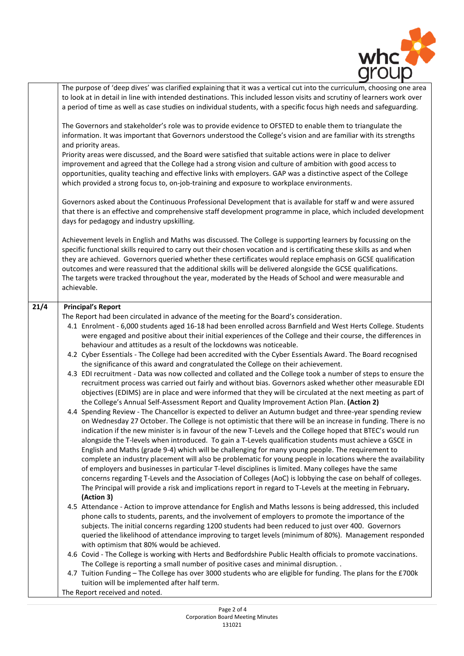

|      | The purpose of 'deep dives' was clarified explaining that it was a vertical cut into the curriculum, choosing one area<br>to look at in detail in line with intended destinations. This included lesson visits and scrutiny of learners work over<br>a period of time as well as case studies on individual students, with a specific focus high needs and safeguarding.<br>The Governors and stakeholder's role was to provide evidence to OFSTED to enable them to triangulate the<br>information. It was important that Governors understood the College's vision and are familiar with its strengths<br>and priority areas.<br>Priority areas were discussed, and the Board were satisfied that suitable actions were in place to deliver<br>improvement and agreed that the College had a strong vision and culture of ambition with good access to<br>opportunities, quality teaching and effective links with employers. GAP was a distinctive aspect of the College<br>which provided a strong focus to, on-job-training and exposure to workplace environments.<br>Governors asked about the Continuous Professional Development that is available for staff w and were assured<br>that there is an effective and comprehensive staff development programme in place, which included development<br>days for pedagogy and industry upskilling.<br>Achievement levels in English and Maths was discussed. The College is supporting learners by focussing on the<br>specific functional skills required to carry out their chosen vocation and is certificating these skills as and when<br>they are achieved. Governors queried whether these certificates would replace emphasis on GCSE qualification<br>outcomes and were reassured that the additional skills will be delivered alongside the GCSE qualifications.<br>The targets were tracked throughout the year, moderated by the Heads of School and were measurable and<br>achievable.                                                                                                                                                                   |
|------|----------------------------------------------------------------------------------------------------------------------------------------------------------------------------------------------------------------------------------------------------------------------------------------------------------------------------------------------------------------------------------------------------------------------------------------------------------------------------------------------------------------------------------------------------------------------------------------------------------------------------------------------------------------------------------------------------------------------------------------------------------------------------------------------------------------------------------------------------------------------------------------------------------------------------------------------------------------------------------------------------------------------------------------------------------------------------------------------------------------------------------------------------------------------------------------------------------------------------------------------------------------------------------------------------------------------------------------------------------------------------------------------------------------------------------------------------------------------------------------------------------------------------------------------------------------------------------------------------------------------------------------------------------------------------------------------------------------------------------------------------------------------------------------------------------------------------------------------------------------------------------------------------------------------------------------------------------------------------------------------------------------------------------------------------------------------------------------------------------------------------|
|      |                                                                                                                                                                                                                                                                                                                                                                                                                                                                                                                                                                                                                                                                                                                                                                                                                                                                                                                                                                                                                                                                                                                                                                                                                                                                                                                                                                                                                                                                                                                                                                                                                                                                                                                                                                                                                                                                                                                                                                                                                                                                                                                            |
| 21/4 | <b>Principal's Report</b><br>The Report had been circulated in advance of the meeting for the Board's consideration.<br>4.1 Enrolment - 6,000 students aged 16-18 had been enrolled across Barnfield and West Herts College. Students<br>were engaged and positive about their initial experiences of the College and their course, the differences in<br>behaviour and attitudes as a result of the lockdowns was noticeable.<br>4.2 Cyber Essentials - The College had been accredited with the Cyber Essentials Award. The Board recognised<br>the significance of this award and congratulated the College on their achievement.<br>4.3 EDI recruitment - Data was now collected and collated and the College took a number of steps to ensure the<br>recruitment process was carried out fairly and without bias. Governors asked whether other measurable EDI<br>objectives (EDIMS) are in place and were informed that they will be circulated at the next meeting as part of<br>the College's Annual Self-Assessment Report and Quality Improvement Action Plan. (Action 2)<br>4.4 Spending Review - The Chancellor is expected to deliver an Autumn budget and three-year spending review<br>on Wednesday 27 October. The College is not optimistic that there will be an increase in funding. There is no<br>indication if the new minister is in favour of the new T-Levels and the College hoped that BTEC's would run<br>alongside the T-levels when introduced. To gain a T-Levels qualification students must achieve a GSCE in<br>English and Maths (grade 9-4) which will be challenging for many young people. The requirement to<br>complete an industry placement will also be problematic for young people in locations where the availability<br>of employers and businesses in particular T-level disciplines is limited. Many colleges have the same<br>concerns regarding T-Levels and the Association of Colleges (AoC) is lobbying the case on behalf of colleges.<br>The Principal will provide a risk and implications report in regard to T-Levels at the meeting in February.<br>(Action 3) |
|      | 4.5 Attendance - Action to improve attendance for English and Maths lessons is being addressed, this included<br>phone calls to students, parents, and the involvement of employers to promote the importance of the<br>subjects. The initial concerns regarding 1200 students had been reduced to just over 400. Governors<br>queried the likelihood of attendance improving to target levels (minimum of 80%). Management responded<br>with optimism that 80% would be achieved.                                                                                                                                                                                                                                                                                                                                                                                                                                                                                                                                                                                                                                                                                                                                                                                                                                                                                                                                                                                                                                                                                                                                                                                                                                                                                                                                                                                                                                                                                                                                                                                                                                         |
|      | 4.6 Covid - The College is working with Herts and Bedfordshire Public Health officials to promote vaccinations.<br>The College is reporting a small number of positive cases and minimal disruption<br>4.7 Tuition Funding - The College has over 3000 students who are eligible for funding. The plans for the £700k<br>tuition will be implemented after half term.                                                                                                                                                                                                                                                                                                                                                                                                                                                                                                                                                                                                                                                                                                                                                                                                                                                                                                                                                                                                                                                                                                                                                                                                                                                                                                                                                                                                                                                                                                                                                                                                                                                                                                                                                      |
|      | The Report received and noted.                                                                                                                                                                                                                                                                                                                                                                                                                                                                                                                                                                                                                                                                                                                                                                                                                                                                                                                                                                                                                                                                                                                                                                                                                                                                                                                                                                                                                                                                                                                                                                                                                                                                                                                                                                                                                                                                                                                                                                                                                                                                                             |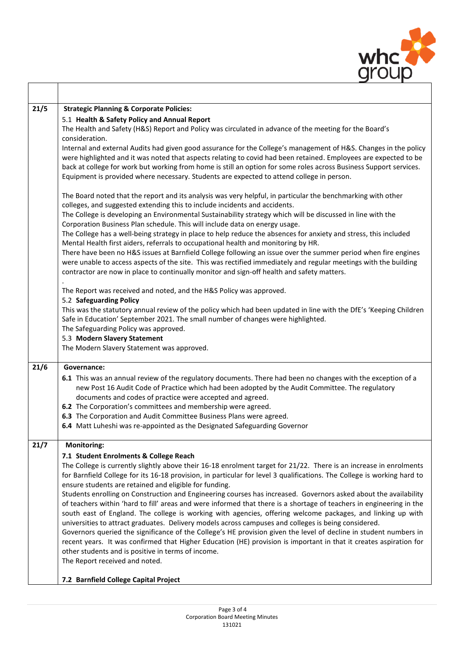

| 21/5 | <b>Strategic Planning &amp; Corporate Policies:</b>                                                                                                                                                             |  |  |  |  |  |  |
|------|-----------------------------------------------------------------------------------------------------------------------------------------------------------------------------------------------------------------|--|--|--|--|--|--|
|      | 5.1 Health & Safety Policy and Annual Report                                                                                                                                                                    |  |  |  |  |  |  |
|      | The Health and Safety (H&S) Report and Policy was circulated in advance of the meeting for the Board's                                                                                                          |  |  |  |  |  |  |
|      | consideration.                                                                                                                                                                                                  |  |  |  |  |  |  |
|      | Internal and external Audits had given good assurance for the College's management of H&S. Changes in the policy                                                                                                |  |  |  |  |  |  |
|      | were highlighted and it was noted that aspects relating to covid had been retained. Employees are expected to be                                                                                                |  |  |  |  |  |  |
|      | back at college for work but working from home is still an option for some roles across Business Support services.<br>Equipment is provided where necessary. Students are expected to attend college in person. |  |  |  |  |  |  |
|      |                                                                                                                                                                                                                 |  |  |  |  |  |  |
|      | The Board noted that the report and its analysis was very helpful, in particular the benchmarking with other                                                                                                    |  |  |  |  |  |  |
|      | colleges, and suggested extending this to include incidents and accidents.                                                                                                                                      |  |  |  |  |  |  |
|      | The College is developing an Environmental Sustainability strategy which will be discussed in line with the                                                                                                     |  |  |  |  |  |  |
|      | Corporation Business Plan schedule. This will include data on energy usage.                                                                                                                                     |  |  |  |  |  |  |
|      | The College has a well-being strategy in place to help reduce the absences for anxiety and stress, this included<br>Mental Health first aiders, referrals to occupational health and monitoring by HR.          |  |  |  |  |  |  |
|      | There have been no H&S issues at Barnfield College following an issue over the summer period when fire engines                                                                                                  |  |  |  |  |  |  |
|      | were unable to access aspects of the site. This was rectified immediately and regular meetings with the building                                                                                                |  |  |  |  |  |  |
|      | contractor are now in place to continually monitor and sign-off health and safety matters.                                                                                                                      |  |  |  |  |  |  |
|      |                                                                                                                                                                                                                 |  |  |  |  |  |  |
|      | The Report was received and noted, and the H&S Policy was approved.                                                                                                                                             |  |  |  |  |  |  |
|      | 5.2 Safeguarding Policy                                                                                                                                                                                         |  |  |  |  |  |  |
|      | This was the statutory annual review of the policy which had been updated in line with the DfE's 'Keeping Children                                                                                              |  |  |  |  |  |  |
|      | Safe in Education' September 2021. The small number of changes were highlighted.<br>The Safeguarding Policy was approved.                                                                                       |  |  |  |  |  |  |
|      | 5.3 Modern Slavery Statement                                                                                                                                                                                    |  |  |  |  |  |  |
|      | The Modern Slavery Statement was approved.                                                                                                                                                                      |  |  |  |  |  |  |
|      |                                                                                                                                                                                                                 |  |  |  |  |  |  |
| 21/6 | Governance:                                                                                                                                                                                                     |  |  |  |  |  |  |
|      | 6.1 This was an annual review of the regulatory documents. There had been no changes with the exception of a                                                                                                    |  |  |  |  |  |  |
|      | new Post 16 Audit Code of Practice which had been adopted by the Audit Committee. The regulatory                                                                                                                |  |  |  |  |  |  |
|      | documents and codes of practice were accepted and agreed.<br>6.2 The Corporation's committees and membership were agreed.                                                                                       |  |  |  |  |  |  |
|      | 6.3 The Corporation and Audit Committee Business Plans were agreed.                                                                                                                                             |  |  |  |  |  |  |
|      | 6.4 Matt Luheshi was re-appointed as the Designated Safeguarding Governor                                                                                                                                       |  |  |  |  |  |  |
|      |                                                                                                                                                                                                                 |  |  |  |  |  |  |
| 21/7 | <b>Monitoring:</b>                                                                                                                                                                                              |  |  |  |  |  |  |
|      | 7.1 Student Enrolments & College Reach                                                                                                                                                                          |  |  |  |  |  |  |
|      | The College is currently slightly above their 16-18 enrolment target for 21/22. There is an increase in enrolments                                                                                              |  |  |  |  |  |  |
|      | for Barnfield College for its 16-18 provision, in particular for level 3 qualifications. The College is working hard to<br>ensure students are retained and eligible for funding.                               |  |  |  |  |  |  |
|      | Students enrolling on Construction and Engineering courses has increased. Governors asked about the availability                                                                                                |  |  |  |  |  |  |
|      | of teachers within 'hard to fill' areas and were informed that there is a shortage of teachers in engineering in the                                                                                            |  |  |  |  |  |  |
|      | south east of England. The college is working with agencies, offering welcome packages, and linking up with                                                                                                     |  |  |  |  |  |  |
|      | universities to attract graduates. Delivery models across campuses and colleges is being considered.                                                                                                            |  |  |  |  |  |  |
|      | Governors queried the significance of the College's HE provision given the level of decline in student numbers in                                                                                               |  |  |  |  |  |  |
|      | recent years. It was confirmed that Higher Education (HE) provision is important in that it creates aspiration for                                                                                              |  |  |  |  |  |  |
|      | other students and is positive in terms of income.                                                                                                                                                              |  |  |  |  |  |  |
|      | The Report received and noted.                                                                                                                                                                                  |  |  |  |  |  |  |
|      | 7.2 Barnfield College Capital Project                                                                                                                                                                           |  |  |  |  |  |  |
|      |                                                                                                                                                                                                                 |  |  |  |  |  |  |

 $\overline{\phantom{a}}$